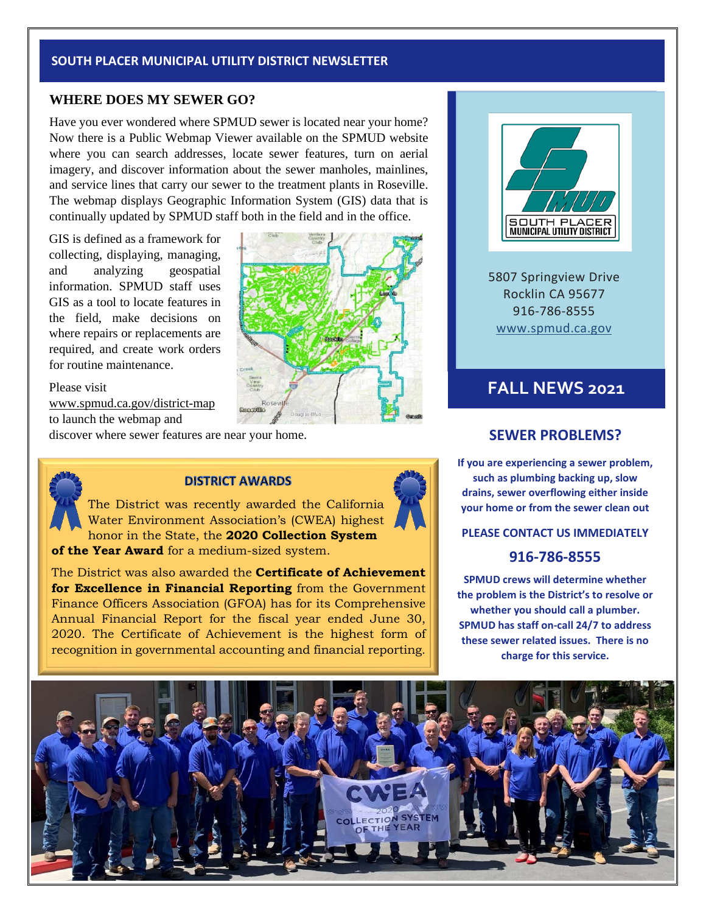#### **SOUTH PLACER MUNICIPAL UTILITY DISTRICT NEWSLETTER**

#### **WHERE DOES MY SEWER GO?**

Have you ever wondered where SPMUD sewer is located near your home? Now there is a Public Webmap Viewer available on the SPMUD website where you can search addresses, locate sewer features, turn on aerial imagery, and discover information about the sewer manholes, mainlines, and service lines that carry our sewer to the treatment plants in Roseville. The webmap displays Geographic Information System (GIS) data that is continually updated by SPMUD staff both in the field and in the office.

GIS is defined as a framework for collecting, displaying, managing, and analyzing geospatial information. SPMUD staff uses GIS as a tool to locate features in the field, make decisions on where repairs or replacements are required, and create work orders for routine maintenance.

Please visit www.spmud.ca.gov/district-map to launch the webmap and

discover where sewer features are near your home.



#### **DISTRICT AWARDS**

The District was recently awarded the California Water Environment Association's (CWEA) highest honor in the State, the **2020 Collection System of the Year Award** for a medium-sized system.

The District was also awarded the **Certificate of Achievement for Excellence in Financial Reporting** from the Government Finance Officers Association (GFOA) has for its Comprehensive Annual Financial Report for the fiscal year ended June 30, 2020. The Certificate of Achievement is the highest form of recognition in governmental accounting and financial reporting.





5807 Springview Drive Rocklin CA 95677 916-786-8555 [www.spmud.ca.gov](http://www.spmud.ca.gov/)

# **FALL NEWS 2021**

#### **SEWER PROBLEMS?**

**If you are experiencing a sewer problem, such as plumbing backing up, slow drains, sewer overflowing either inside your home or from the sewer clean out**

**PLEASE CONTACT US IMMEDIATELY**

### **916-786-8555**

**SPMUD crews will determine whether the problem is the District's to resolve or whether you should call a plumber. SPMUD has staff on-call 24/7 to address these sewer related issues. There is no charge for this service.**